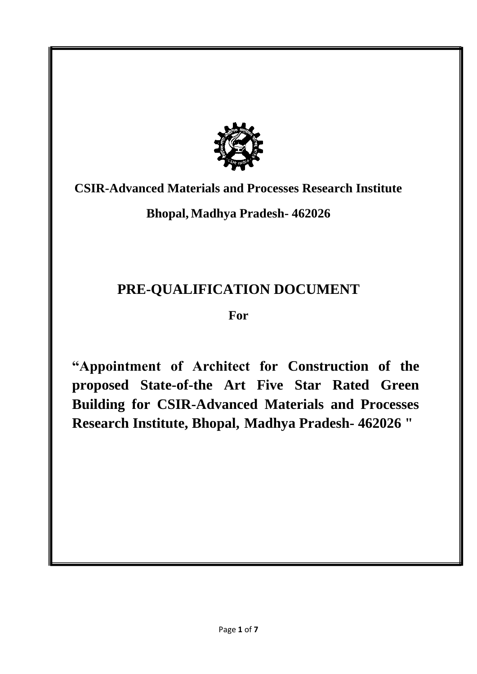

# **CSIR-Advanced Materials and Processes Research Institute**

**Bhopal, Madhya Pradesh- 462026** 

# **PRE-QUALIFICATION DOCUMENT**

**For** 

**"Appointment of Architect for Construction of the proposed State-of-the Art Five Star Rated Green Building for CSIR-Advanced Materials and Processes Research Institute, Bhopal, Madhya Pradesh- 462026 "**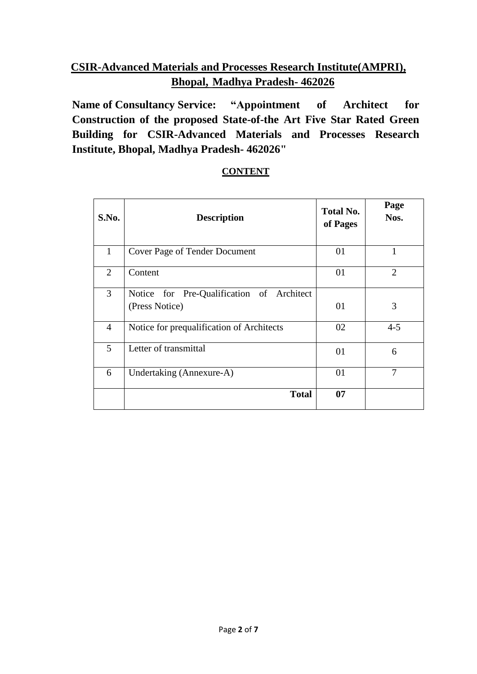## **CSIR-Advanced Materials and Processes Research Institute(AMPRI), Bhopal, Madhya Pradesh- 462026**

**Name of Consultancy Service: "Appointment of Architect for Construction of the proposed State-of-the Art Five Star Rated Green Building for CSIR-Advanced Materials and Processes Research Institute, Bhopal, Madhya Pradesh- 462026"** 

| S.No.          | <b>Description</b>                                          | <b>Total No.</b><br>of Pages | Page<br>Nos.   |
|----------------|-------------------------------------------------------------|------------------------------|----------------|
| $\mathbf{1}$   | <b>Cover Page of Tender Document</b>                        | 01                           | 1              |
| 2              | Content                                                     | 01                           | $\overline{2}$ |
| $\overline{3}$ | Notice for Pre-Qualification of Architect<br>(Press Notice) | 01                           | 3              |
| 4              | Notice for prequalification of Architects                   | 02                           | $4 - 5$        |
| 5              | Letter of transmittal                                       | 01                           | 6              |
| 6              | Undertaking (Annexure-A)                                    | 01                           | 7              |
|                | <b>Total</b>                                                | 07                           |                |

### **CONTENT**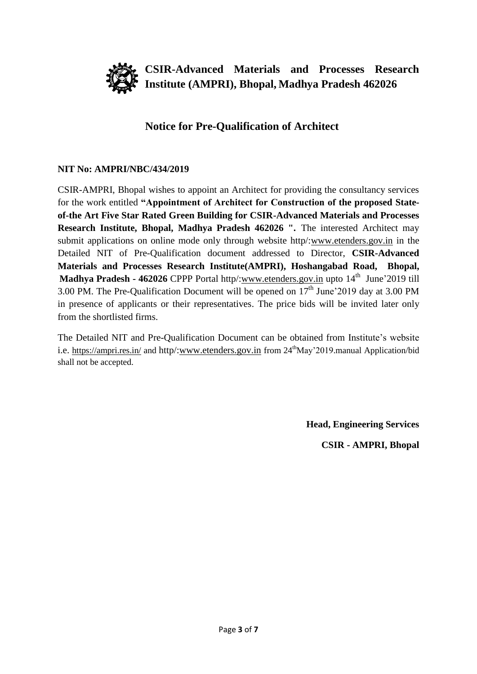

**CSIR-Advanced Materials and Processes Research Institute (AMPRI), Bhopal, Madhya Pradesh 462026**

### **Notice for Pre-Qualification of Architect**

### **NIT No: AMPRI/NBC/434/2019**

CSIR-AMPRI, Bhopal wishes to appoint an Architect for providing the consultancy services for the work entitled **"Appointment of Architect for Construction of the proposed Stateof-the Art Five Star Rated Green Building for CSIR-Advanced Materials and Processes Research Institute, Bhopal, Madhya Pradesh 462026 ".** The interested Architect may submit applications on online mode only through website http/[:www.etenders.gov.in](http://www.etenders.gov.in/) in the Detailed NIT of Pre-Qualification document addressed to Director, **CSIR-Advanced Materials and Processes Research Institute(AMPRI), Hoshangabad Road, Bhopal, Madhya Pradesh - 462026** CPPP Portal http/[:www.etenders.gov.in](http://www.etenders.gov.in/) upto 14<sup>th</sup> June'2019 till 3.00 PM. The Pre-Qualification Document will be opened on  $17<sup>th</sup>$  June'2019 day at 3.00 PM in presence of applicants or their representatives. The price bids will be invited later only from the shortlisted firms.

The Detailed NIT and Pre-Qualification Document can be obtained from Institute's website i.e. <https://ampri.res.in/> and http/[:www.etenders.gov.in](http://www.etenders.gov.in/) from 24<sup>th</sup>May'2019.manual Application/bid shall not be accepted.

**Head, Engineering Services**

**CSIR - AMPRI, Bhopal**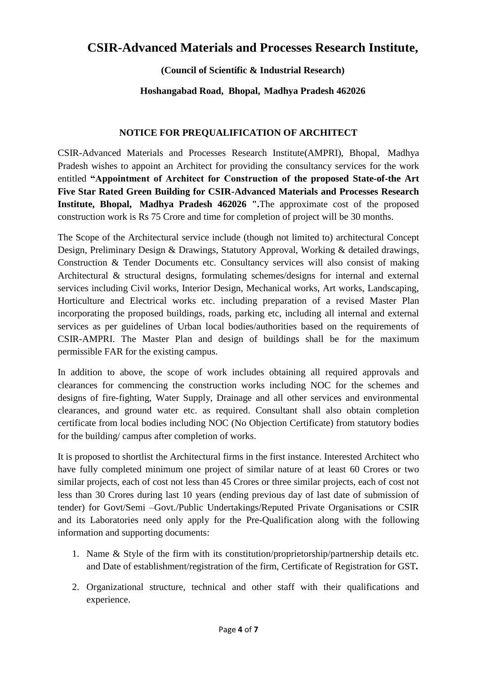## **CSIR-Advanced Materials and Processes Research Institute,**

**(Council of Scientific & Industrial Research)**

**Hoshangabad Road, Bhopal, Madhya Pradesh 462026**

### **NOTICE FOR PREQUALIFICATION OF ARCHITECT**

CSIR-Advanced Materials and Processes Research Institute(AMPRI), Bhopal, Madhya Pradesh wishes to appoint an Architect for providing the consultancy services for the work entitled **"Appointment of Architect for Construction of the proposed State-of-the Art Five Star Rated Green Building for CSIR-Advanced Materials and Processes Research Institute, Bhopal, Madhya Pradesh 462026 ".**The approximate cost of the proposed construction work is Rs 75 Crore and time for completion of project will be 30 months.

The Scope of the Architectural service include (though not limited to) architectural Concept Design, Preliminary Design & Drawings, Statutory Approval, Working & detailed drawings, Construction & Tender Documents etc. Consultancy services will also consist of making Architectural & structural designs, formulating schemes/designs for internal and external services including Civil works, Interior Design, Mechanical works, Art works, Landscaping, Horticulture and Electrical works etc. including preparation of a revised Master Plan incorporating the proposed buildings, roads, parking etc, including all internal and external services as per guidelines of Urban local bodies/authorities based on the requirements of CSIR-AMPRI. The Master Plan and design of buildings shall be for the maximum permissible FAR for the existing campus.

In addition to above, the scope of work includes obtaining all required approvals and clearances for commencing the construction works including NOC for the schemes and designs of fire-fighting, Water Supply, Drainage and all other services and environmental clearances, and ground water etc. as required. Consultant shall also obtain completion certificate from local bodies including NOC (No Objection Certificate) from statutory bodies for the building/ campus after completion of works.

It is proposed to shortlist the Architectural firms in the first instance. Interested Architect who have fully completed minimum one project of similar nature of at least 60 Crores or two similar projects, each of cost not less than 45 Crores or three similar projects, each of cost not less than 30 Crores during last 10 years (ending previous day of last date of submission of tender) for Govt/Semi –Govt./Public Undertakings/Reputed Private Organisations or CSIR and its Laboratories need only apply for the Pre-Qualification along with the following information and supporting documents:

- 1. Name & Style of the firm with its constitution/proprietorship/partnership details etc. and Date of establishment/registration of the firm, Certificate of Registration for GST*.*
- 2. Organizational structure, technical and other staff with their qualifications and experience.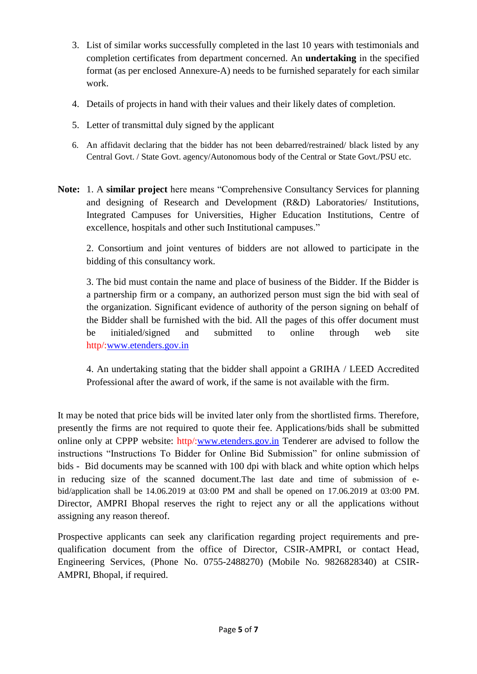- 3. List of similar works successfully completed in the last 10 years with testimonials and completion certificates from department concerned. An **undertaking** in the specified format (as per enclosed Annexure-A) needs to be furnished separately for each similar work.
- 4. Details of projects in hand with their values and their likely dates of completion.
- 5. Letter of transmittal duly signed by the applicant
- 6. An affidavit declaring that the bidder has not been debarred/restrained/ black listed by any Central Govt. / State Govt. agency/Autonomous body of the Central or State Govt./PSU etc.
- **Note:** 1. A **similar project** here means "Comprehensive Consultancy Services for planning and designing of Research and Development (R&D) Laboratories/ Institutions, Integrated Campuses for Universities, Higher Education Institutions, Centre of excellence, hospitals and other such Institutional campuses."

2. Consortium and joint ventures of bidders are not allowed to participate in the bidding of this consultancy work.

3. The bid must contain the name and place of business of the Bidder. If the Bidder is a partnership firm or a company, an authorized person must sign the bid with seal of the organization. Significant evidence of authority of the person signing on behalf of the Bidder shall be furnished with the bid. All the pages of this offer document must be initialed/signed and submitted to online through web site http/[:www.etenders.gov.in](http://www.etenders.gov.in/)

4. An undertaking stating that the bidder shall appoint a GRIHA / LEED Accredited Professional after the award of work, if the same is not available with the firm.

It may be noted that price bids will be invited later only from the shortlisted firms. Therefore, presently the firms are not required to quote their fee. Applications/bids shall be submitted online only at CPPP website: http/[:www.etenders.gov.in](http://www.etenders.gov.in/) Tenderer are advised to follow the instructions "Instructions To Bidder for Online Bid Submission" for online submission of bids - Bid documents may be scanned with 100 dpi with black and white option which helps in reducing size of the scanned document.The last date and time of submission of ebid/application shall be 14.06.2019 at 03:00 PM and shall be opened on 17.06.2019 at 03:00 PM. Director, AMPRI Bhopal reserves the right to reject any or all the applications without assigning any reason thereof.

Prospective applicants can seek any clarification regarding project requirements and prequalification document from the office of Director, CSIR-AMPRI, or contact Head, Engineering Services, (Phone No. 0755-2488270) (Mobile No. 9826828340) at CSIR-AMPRI, Bhopal, if required.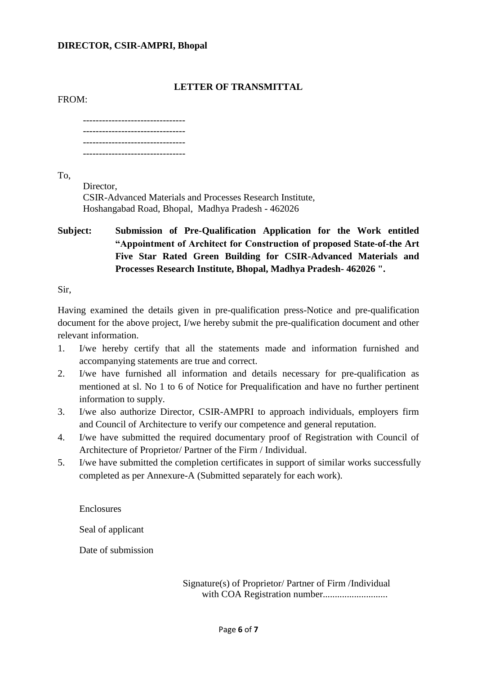#### **DIRECTOR, CSIR-AMPRI, Bhopal**

### **LETTER OF TRANSMITTAL**

#### FROM:

-------------------------------- -------------------------------- --------------------------------

To,

Director, CSIR-Advanced Materials and Processes Research Institute, Hoshangabad Road, Bhopal, Madhya Pradesh - 462026

**Subject: Submission of Pre-Qualification Application for the Work entitled "Appointment of Architect for Construction of proposed State-of-the Art Five Star Rated Green Building for CSIR-Advanced Materials and Processes Research Institute, Bhopal, Madhya Pradesh- 462026 ".**

Sir,

Having examined the details given in pre-qualification press-Notice and pre-qualification document for the above project, I/we hereby submit the pre-qualification document and other relevant information.

- 1. I/we hereby certify that all the statements made and information furnished and accompanying statements are true and correct.
- 2. I/we have furnished all information and details necessary for pre-qualification as mentioned at sl. No 1 to 6 of Notice for Prequalification and have no further pertinent information to supply.
- 3. I/we also authorize Director, CSIR-AMPRI to approach individuals, employers firm and Council of Architecture to verify our competence and general reputation.
- 4. I/we have submitted the required documentary proof of Registration with Council of Architecture of Proprietor/ Partner of the Firm / Individual.
- 5. I/we have submitted the completion certificates in support of similar works successfully completed as per Annexure-A (Submitted separately for each work).

**Enclosures** 

Seal of applicant

Date of submission

Signature(s) of Proprietor/ Partner of Firm /Individual with COA Registration number...........................